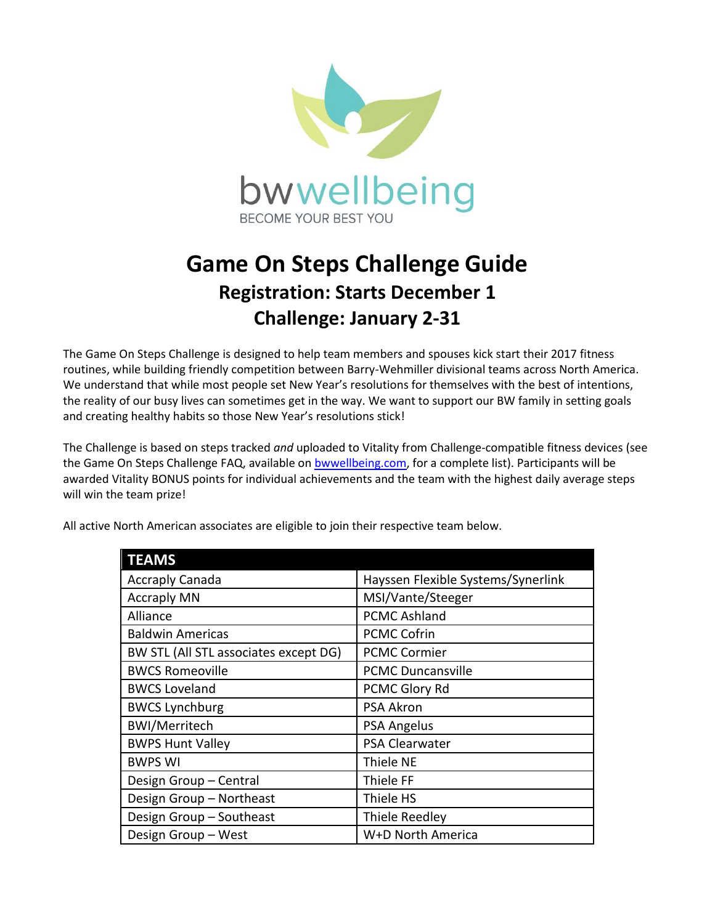

## **Game On Steps Challenge Guide Registration: Starts December 1 Challenge: January 2-31**

The Game On Steps Challenge is designed to help team members and spouses kick start their 2017 fitness routines, while building friendly competition between Barry-Wehmiller divisional teams across North America. We understand that while most people set New Year's resolutions for themselves with the best of intentions, the reality of our busy lives can sometimes get in the way. We want to support our BW family in setting goals and creating healthy habits so those New Year's resolutions stick!

The Challenge is based on steps tracked *and* uploaded to Vitality from Challenge-compatible fitness devices (see the Game On Steps Challenge FAQ, available on [bwwellbeing.com,](http://www.bwwellbeing.com/) for a complete list). Participants will be awarded Vitality BONUS points for individual achievements and the team with the highest daily average steps will win the team prize!

| Hayssen Flexible Systems/Synerlink |
|------------------------------------|
| MSI/Vante/Steeger                  |
| <b>PCMC Ashland</b>                |
| <b>PCMC Cofrin</b>                 |
| <b>PCMC Cormier</b>                |
| <b>PCMC Duncansville</b>           |
| PCMC Glory Rd                      |
| <b>PSA Akron</b>                   |
| <b>PSA Angelus</b>                 |
| PSA Clearwater                     |
| Thiele NE                          |
| Thiele FF                          |
| Thiele HS                          |
| Thiele Reedley                     |
| W+D North America                  |
|                                    |

All active North American associates are eligible to join their respective team below.